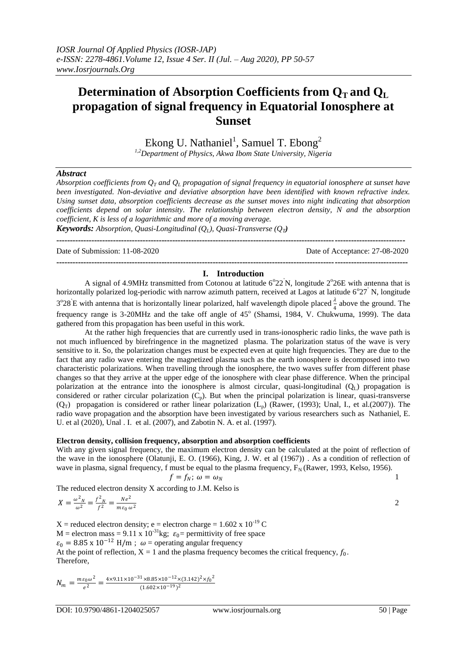# **Determination of Absorption Coefficients from**  $Q_T$  **and**  $Q_L$ **propagation of signal frequency in Equatorial Ionosphere at Sunset**

Ekong U. Nathaniel<sup>1</sup>, Samuel T. Ebong<sup>2</sup>

*1,2Department of Physics, Akwa Ibom State University, Nigeria*

### *Abstract*

*Absorption coefficients from Q<sup>T</sup> and Q<sup>L</sup> propagation of signal frequency in equatorial ionosphere at sunset have been investigated. Non-deviative and deviative absorption have been identified with known refractive index. Using sunset data, absorption coefficients decrease as the sunset moves into night indicating that absorption coefficients depend on solar intensity. The relationship between electron density, N and the absorption coefficient, K is less of a logarithmic and more of a moving average.*

*Keywords: Absorption, Quasi-Longitudinal (O<sub>L</sub>), Quasi-Transverse (O<sub>T</sub>)* 

Date of Submission: 11-08-2020 Date of Acceptance: 27-08-2020

---------------------------------------------------------------------------------------------------------------------------------

### ---------------------------------------------------------------------------------------------------------------------------------- **I. Introduction**

A signal of 4.9MHz transmitted from Cotonou at latitude  $6^{\circ}22^{\prime}N$ , longitude  $2^{\circ}26E$  with antenna that is horizontally polarized log-periodic with narrow azimuth pattern, received at Lagos at latitude  $6^{\circ}27$ <sup>'</sup> N, longitude  $3^{\circ}28$  E with antenna that is horizontally linear polarized, half wavelength dipole placed  $\frac{\lambda}{4}$  above the ground. The 4 frequency range is 3-20MHz and the take off angle of 45<sup>o</sup> (Shamsi, 1984, V. Chukwuma, 1999). The data gathered from this propagation has been useful in this work.

At the rather high frequencies that are currently used in trans-ionospheric radio links, the wave path is not much influenced by birefringence in the magnetized plasma. The polarization status of the wave is very sensitive to it. So, the polarization changes must be expected even at quite high frequencies. They are due to the fact that any radio wave entering the magnetized plasma such as the earth ionosphere is decomposed into two characteristic polarizations. When travelling through the ionosphere, the two waves suffer from different phase changes so that they arrive at the upper edge of the ionosphere with clear phase difference. When the principal polarization at the entrance into the ionosphere is almost circular, quasi-longitudinal  $(Q_L)$  propagation is considered or rather circular polarization  $(C_p)$ . But when the principal polarization is linear, quasi-transverse  $(Q_T)$  propagation is considered or rather linear polarization  $(L_p)$  (Rawer, (1993); Unal, I., et al.(2007)). The radio wave propagation and the absorption have been investigated by various researchers such as Nathaniel, E. U. et al (2020), Unal . I. et al. (2007), and Zabotin N. A. et al. (1997).

#### **Electron density, collision frequency, absorption and absorption coefficients**

With any given signal frequency, the maximum electron density can be calculated at the point of reflection of the wave in the ionosphere (Olatunji, E. O. (1966), King, J. W. et al (1967)) . As a condition of reflection of wave in plasma, signal frequency, f must be equal to the plasma frequency,  $F_N$  (Rawer, 1993, Kelso, 1956).

$$
f = f_N; \ \omega = \omega_N
$$

The reduced electron density X according to J.M. Kelso is

$$
X = \frac{\omega^2 N}{\omega^2} = \frac{f^2 N}{f^2} = \frac{Ne^2}{m \varepsilon_0 \omega^2}
$$

 $X =$  reduced electron density; e = electron charge = 1.602 x 10<sup>-19</sup> C M = electron mass = 9.11 x  $10^{-31}$ kg;  $\varepsilon_0$  = permittivity of free space  $\varepsilon_0 = 8.85 \times 10^{-12}$  H/m;  $\omega$  = operating angular frequency At the point of reflection,  $X = 1$  and the plasma frequency becomes the critical frequency,  $f_0$ . Therefore,

$$
N_m = \frac{m\epsilon_0\omega^2}{e^2} = \frac{4 \times 9.11 \times 10^{-31} \times 8.85 \times 10^{-12} \times (3.142)^2 \times f_0^2}{(1.602 \times 10^{-19})^2}
$$

DOI: 10.9790/4861-1204025057 www.iosrjournals.org 50 | Page

2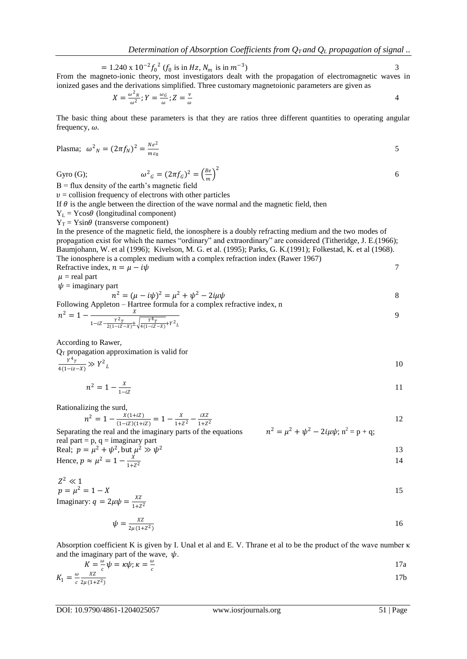$$
= 1.240 \times 10^{-2} f_0^2 (f_0 \text{ is in Hz}, N_m \text{ is in } m^{-3})
$$
  
From the magnetic ionic theory, most investigators dealt with the propagation of electromagnetic waves in

From the magneto-ionic theory, most investigators dealt with the propagation of electromagnetic waves in ionized gases and the derivations simplified. Three customary magnetoionic parameters are given as

$$
X = \frac{\omega^2 N}{\omega^2}; Y = \frac{\omega_G}{\omega}; Z = \frac{\nu}{\omega}
$$

The basic thing about these parameters is that they are ratios three different quantities to operating angular frequency,  $\omega$ .

Plasma; 
$$
\omega^2{}_N = (2\pi f_N)^2 = \frac{Ne^2}{m\,\varepsilon_0}
$$

Gyro (G);

$$
\omega^2_G = (2\pi f_G)^2 = \left(\frac{Be}{m}\right)^2 \tag{6}
$$

 $B =$  flux density of the earth's magnetic field

 $v =$  collision frequency of electrons with other particles

If  $\theta$  is the angle between the direction of the wave normal and the magnetic field, then

 $Y_L = Y \cos\theta$  (longitudinal component)

 $Y_T = Y \sin\theta$  (transverse component)

In the presence of the magnetic field, the ionosphere is a doubly refracting medium and the two modes of propagation exist for which the names "ordinary" and extraordinary" are considered (Titheridge, J. E.(1966); Baumjohann, W. et al (1996); Kivelson, M. G. et al. (1995); Parks, G. K.(1991); Folkestad, K. et al (1968). The ionosphere is a complex medium with a complex refraction index (Rawer 1967) Refractive index,  $n = \mu - i\psi$  7

 $\mu$  = real part

 $\psi$  = imaginary part

 $n^2 = (\mu - i\psi)^2 = \mu^2 + \psi^2 - 2i\mu\psi$  8

Following Appleton – Hartree formula for a complex refractive index, n

$$
n^{2} = 1 - \frac{X}{1 - iZ - \frac{Y^{2}T}{2(1 - iZ - X)} \pm \sqrt{\frac{Y^{4}T}{4(1 - iZ - X)} + Y^{2}}}
$$

According to Rawer,

 $Q_T$  propagation approximation is valid for

 $1+Z^2$ 

$$
\frac{Y^4 \tau}{4(1 - iz - X)} \gg Y^2 \psi_L
$$

$$
n^2 = 1 - \frac{x}{1 - iZ} \tag{11}
$$

Rationalizing the surd,

$$
n^2 = 1 - \frac{x(1+iZ)}{(1-iZ)(1+iZ)} = 1 - \frac{x}{1+Z^2} - \frac{iXZ}{1+Z^2}
$$

Separating the real and the imaginary parts of the equations  $n^2 = \mu^2 + \psi^2 - 2i\mu\psi$ ;  $n^2 = p + q$ ; real part =  $p$ ,  $q =$  imaginary part Real;  $p = \mu^2 + \psi^2$ , but  $\mu^2 \gg \psi$ 2  $\hspace{1.5cm}$  13 Hence,  $p \approx \mu^2 = 1 - \frac{X}{1 + X}$  $1+Z^2$ 14

$$
Z^2 \ll 1
$$
  
\n
$$
p = \mu^2 = 1 - X
$$
  
\nImaginary:  $q = 2\mu\psi = \frac{XZ}{1+Z^2}$ 

$$
\psi = \frac{\text{XZ}}{2\mu(1+Z^2)}\tag{16}
$$

Absorption coefficient K is given by I. Unal et al and E. V. Thrane et al to be the product of the wave number κ and the imaginary part of the wave,  $\psi$ .

$$
K = -\frac{\omega}{c}\psi = \kappa\psi; \kappa = -\frac{\omega}{c}
$$
17a

$$
K_1 = \frac{\omega}{c} \frac{xz}{2\mu(1+z^2)} \tag{17b}
$$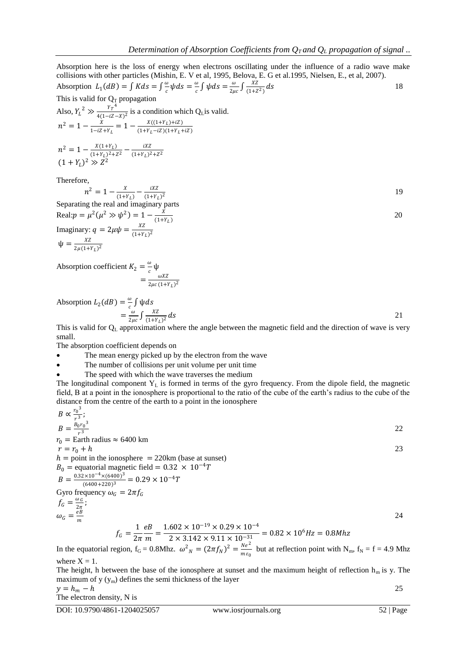Absorption here is the loss of energy when electrons oscillating under the influence of a radio wave make collisions with other particles (Mishin, E. V et al, 1995, Belova, E. G et al.1995, Nielsen, E., et al, 2007). Absorption  $L_1(dB) = \int K ds = \int \frac{\omega}{c}$  $\frac{\omega}{c}\psi ds = \frac{\omega}{c}$  $\frac{\omega}{c} \int \psi ds = \frac{\omega}{2\mu}$  $\frac{\omega}{2\mu c}\int \frac{XZ}{(1+Z)}$  $(1+Z^2)$  $ds$  18 This is valid for  $Q_T$  propagation Also,  $Y_L^2 \gg \frac{Y_T^4}{4(1-iZ_T)}$  $\frac{T_T}{4(1-iZ-X)^2}$  is a condition which Q<sub>L</sub>is valid.  $n^2 = 1 - \frac{X}{1+iZ}$  $\frac{X}{1-iZ+Y_L} = 1 - \frac{X((1+Y_L)+iZ)}{(1+Y_L-iZ)(1+Y_L-iZ)}$  $(1+Y_L - iZ)(1+Y_L + iZ)$  $n^2 = 1 - \frac{X(1+Y_L)}{(1+Y_L)^2}$  $\frac{X(1+Y_L)}{(1+Y_L)^2+Z^2} - \frac{iXZ}{(1+Y_L)^2}$  $(1+Y_L)^2 + Z^2$  $(1 + Y_L)^2 \gg Z^2$ Therefore,  $n^2 = 1 - \frac{X}{(1)}$  $\frac{X}{(1+Y_L)} - \frac{iXZ}{(1+Y_L)}$  $(1+Y_L)^2$ 19

Separating the real and imaginary parts Real:  $p = \mu^2(\mu^2 \gg \psi^2) = 1 - \frac{X}{(1.1)}$  $(1+Y_L)$  20 Imaginary:  $q = 2\mu\psi = \frac{XZ}{(1+X)^2}$  $(1+Y_L)^2$  $\Psi = \frac{XZ}{2 \pi (1+z)}$  $2\mu(1+Y_L)^2$ 

Absorption coefficient  $K_2 = \frac{\omega}{c}$  $\frac{w}{c}$ ψ  $=\frac{\omega XZ}{2\omega z(1+z)}$  $2\mu c (1+Y_L)^2$ 

Absorption 
$$
L_2(dB) = \frac{\omega}{c} \int \psi ds
$$
  
=  $\frac{\omega}{2\mu c} \int \frac{XZ}{(1+Y_L)^2} ds$ 

This is valid for  $Q_L$  approximation where the angle between the magnetic field and the direction of wave is very small.

The absorption coefficient depends on

- The mean energy picked up by the electron from the wave
- The number of collisions per unit volume per unit time
- The speed with which the wave traverses the medium

The longitudinal component  $Y_L$  is formed in terms of the gyro frequency. From the dipole field, the magnetic field, B at a point in the ionosphere is proportional to the ratio of the cube of the earth's radius to the cube of the distance from the centre of the earth to a point in the ionosphere

$$
B \propto \frac{r_0^3}{r^3};
$$
  
\n
$$
B = \frac{B_0 r_0^3}{r^3}
$$
  
\n
$$
r_0 = \text{Earth radius} \approx 6400 \text{ km}
$$
  
\n
$$
r = r_0 + h
$$
  
\n
$$
h = \text{point in the ionosphere} = 220 \text{km (base at sunset)}
$$
  
\n
$$
B_0 = \text{equatorial magnetic field} = 0.32 \times 10^{-4}T
$$
  
\n
$$
B = \frac{0.32 \times 10^{-4} \times (6400)^3}{(6400 + 220)^3} = 0.29 \times 10^{-4}T
$$
  
\nGyro frequency  $\omega_G = 2\pi f_G$   
\n
$$
f_G = \frac{\omega_G}{2\pi};
$$
  
\n
$$
\omega_G = \frac{e}{m}
$$
  
\n
$$
f_G = \frac{1}{2\pi} \frac{e}{m} = \frac{1.602 \times 10^{-19} \times 0.29 \times 10^{-4}}{2 \times 3.142 \times 9.11 \times 10^{-31}} = 0.82 \times 10^6 Hz = 0.8 Mhz
$$
  
\nIn the equatorial region,  $f_G = 0.8 Mhz$ .  
\n
$$
\omega^2 = (2\pi f_N)^2 = \frac{Ne^2}{2}
$$
 but at reflection point with N<sub>m</sub>,  $f_N = f = 4.9 Mh$ 

In the equatorial region,  $f_G = 0.8$ Mhz.  $\omega$  $_N = (2\pi f_N)$  $m\epsilon_0$ but at reflection point with  $N_m$ ,  $f_N = f = 4.9$  Mhz where  $X = 1$ .

The height, h between the base of the ionosphere at sunset and the maximum height of reflection  $h_m$  is y. The maximum of  $y(y_m)$  defines the semi thickness of the layer  $y = h_m - h$  25

$$
y - n_m - n
$$
  
The electron density, N is

DOI: 10.9790/4861-1204025057 www.iosrjournals.org 52 | Page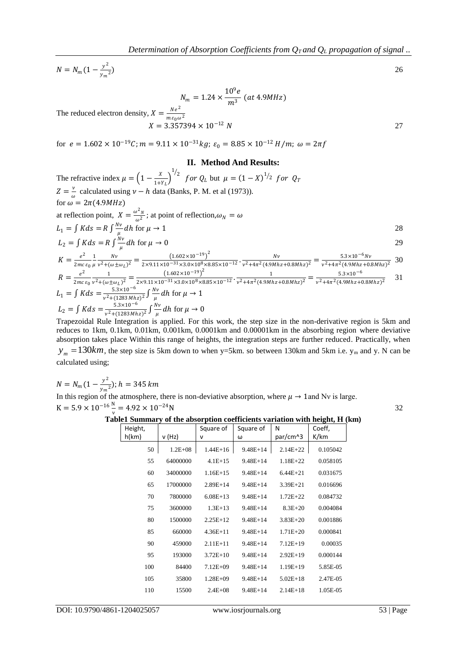$N = N_m (1 - \frac{y^2}{y})$  $y_m^2$ 

$$
N_m = 1.24 \times \frac{10^9 e}{m^3} \ (at\ 4.9 MHz)
$$

The reduced electron density,  $X = \frac{Ne^2}{me^2}$  $m\varepsilon_0\omega^2$  $X = 3.357394 \times 10^{-12} N$  27

for  $e = 1.602 \times 10^{-19} C$ ;  $m = 9.11 \times 10^{-31} kg$ ;  $\varepsilon_0 = 8.85 \times 10^{-12} H/m$ ;  $\omega = 2 \pi f$ 

#### **II. Method And Results:**

The refractive index  $\mu = \left(1 - \frac{X}{1+X}\right)$  $\frac{1}{1+Y_L}$  $^{1/2}$  for  $Q_L$  but  $\mu = (1 - X)^{1/2}$  for  $Q_T$  $Z=\frac{\nu}{\sigma}$ calculated using  $v - h$  data (Banks, P. M. et al (1973)). for  $\omega = 2\pi (4.9MHz)$ at reflection point,  $X = \frac{\omega^2 N}{\omega^2}$ ; at point of reflection,  $\omega_N = \omega$  $\omega^2$  $L_1 = \int K ds = R \int \frac{Nv}{u}$  $\frac{\partial v}{\partial \mu}$  dh for  $\mu \to 1$  28  $L_2 = \int K ds = R \int \frac{Nv}{u}$  $\frac{\partial v}{\partial \mu}$  dh for  $\mu \to 0$  29  $K=\frac{e^2}{2m\epsilon}$  $2mc\,\varepsilon_0$ 1  $\mu$  $N\nu$  $\frac{Nv}{v^2 + (\omega \pm \omega_L)^2} = \frac{(1.602 \times 10^{-19})^2}{2 \times 9.11 \times 10^{-31} \times 3.0 \times 10^8 \times 8.85 \times 10^{-12}} \cdot \frac{Nv}{v^2 + 4\pi^2 (4.9Mh)}$  $\frac{Nv}{v^2 + 4\pi^2 (4.9Mhz + 0.8Mhz)^2} = \frac{5.3 \times 10^{-6} Nv}{v^2 + 4\pi^2 (4.9Mhz + 0.8Mhz)^2}$  $v^2+4\pi^2(4.9Mhz+0.8Mhz)^2$ 30  $R = \frac{e^2}{2m}$  $2mc\,\varepsilon_0$ 1  $\frac{1}{v^2 + (\omega \pm \omega_L)^2} = \frac{(1.602 \times 10^{-19})^2}{2 \times 9.11 \times 10^{-31} \times 3.0 \times 10^8 \times 8.85 \times 10^{-12}} \cdot \frac{1}{v^2 + 4\pi^2 (4.9M)}$  $\frac{1}{v^2+4\pi^2(4.9Mhz+0.8Mhz)^2}=\frac{5.3\times10^{-6}}{v^2+4\pi^2(4.9Mhz+0.8Mhz)^2}$  $v^2+4\pi^2(4.9Mhz+0.8Mhz)^2$ 31  $L_1 = \int K ds = \frac{5.3 \times 10^{-6}}{v^2 + (1283 Mh)}$  $\frac{5.3\times10^{-6}}{v^2+(1283Mhz)^2}\int \frac{Nv}{\mu}$  $\frac{\partial v}{\partial \mu}$  dh for  $\mu \to 1$  $L_2 = \int K ds = \frac{5.3 \times 10^{-6}}{v^2 + (1283 \, Mh)}$  $\frac{5.3\times10^{-6}}{v^2+(1283Mhz)^2}\int \frac{Nv}{\mu}$  $\frac{\partial v}{\partial \mu}dh$  for  $\mu \to 0$ 

Trapezoidal Rule Integration is applied. For this work, the step size in the non-derivative region is 5km and reduces to 1km, 0.1km, 0.01km, 0.001km, 0.0001km and 0.00001km in the absorbing region where deviative absorption takes place Within this range of heights, the integration steps are further reduced. Practically, when  $y_m = 130km$ , the step size is 5km down to when y=5km. so between 130km and 5km i.e.  $y_m$  and y. N can be calculated using;

$$
N = N_m (1 - \frac{y^2}{y_m^2}); h = 345 \text{ km}
$$
  
In this region of the atmosphere, there is non-devitative absorption, where  $\mu \to 1$  and Nv is large.  

$$
K = 5.9 \times 10^{-16} \frac{N}{m} = 4.92 \times 10^{-24} N
$$

# **Table1 Summary of the absorption coefficients variation with height, H (km)**

Height, h(km)  $\vert v(Hz)\vert$ Square of ν Square of ω N par/cm^3 Coeff, K/km 50 1.2E+08 1.44E+16 9.48E+14 2.14E+22 0.105042 55 64000000 4.1E+15 9.48E+14 1.18E+22 0.058105 60 34000000 1.16E+15 9.48E+14 6.44E+21 0.031675 65 17000000 2.89E+14 9.48E+14 3.39E+21 0.016696 70 7800000 6.08E+13 9.48E+14 1.72E+22 0.084732 75 3600000 1.3E+13 9.48E+14 8.3E+20 0.004084 80 1500000 2.25E+12 9.48E+14 3.83E+20 0.001886 85 660000 4.36E+11 9.48E+14 1.71E+20 0.000841 90 459000 2.11E+11 9.48E+14 7.12E+19 0.00035 95 193000 3.72E+10 9.48E+14 2.92E+19 0.000144 100 84400 7.12E+09 9.48E+14 1.19E+19 5.85E-05 105 35800 1.28E+09 9.48E+14 5.02E+18 2.47E-05 110 15500 2.4E+08 9.48E+14 2.14E+18 1.05E-05

 $)$  26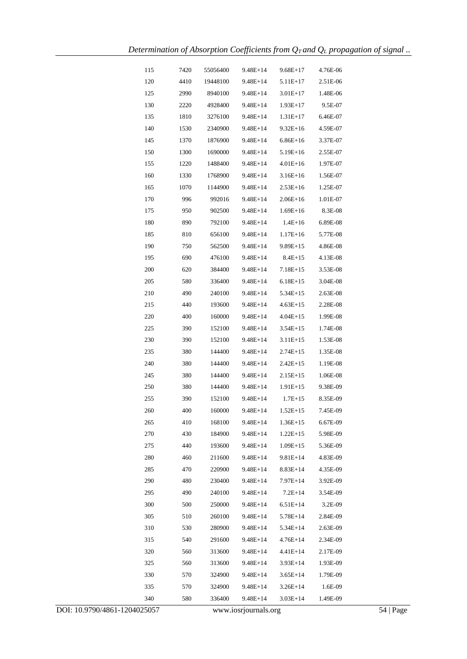| 120<br>4410<br>19448100<br>2.51E-06<br>9.48E+14<br>5.11E+17<br>125<br>8940100<br>9.48E+14<br>$3.01E+17$<br>2990<br>1.48E-06<br>130<br>2220<br>4928400<br>9.48E+14<br>$1.93E+17$<br>9.5E-07<br>135<br>1810<br>3276100<br>9.48E+14<br>1.31E+17<br>6.46E-07<br>140<br>1530<br>2340900<br>4.59E-07<br>9.48E+14<br>$9.32E+16$<br>145<br>1876900<br>$6.86E+16$<br>1370<br>9.48E+14<br>3.37E-07<br>150<br>1690000<br>1300<br>9.48E+14<br>$5.19E+16$<br>2.55E-07<br>155<br>$4.01E+16$<br>1220<br>1488400<br>9.48E+14<br>1.97E-07<br>160<br>1768900<br>1330<br>9.48E+14<br>$3.16E+16$<br>1.56E-07<br>165<br>1070<br>1144900<br>9.48E+14<br>$2.53E+16$<br>1.25E-07<br>170<br>996<br>992016<br>9.48E+14<br>$2.06E+16$<br>1.01E-07<br>175<br>902500<br>$1.69E+16$<br>8.3E-08<br>950<br>9.48E+14<br>180<br>890<br>792100<br>9.48E+14<br>$1.4E+16$<br>6.89E-08<br>185<br>656100<br>$1.17E+16$<br>810<br>9.48E+14<br>5.77E-08<br>190<br>750<br>562500<br>9.48E+14<br>9.89E+15<br>4.86E-08<br>195<br>476100<br>9.48E+14<br>$8.4E+15$<br>4.13E-08<br>690<br>200<br>620<br>384400<br>9.48E+14<br>$7.18E+15$<br>3.53E-08<br>205<br>580<br>336400<br>9.48E+14<br>$6.18E+15$<br>3.04E-08<br>210<br>490<br>240100<br>9.48E+14<br>$5.34E+15$<br>2.63E-08<br>215<br>440<br>193600<br>$4.63E+15$<br>2.28E-08<br>9.48E+14<br>220<br>400<br>160000<br>9.48E+14<br>$4.04E+15$<br>1.99E-08<br>225<br>390<br>152100<br>9.48E+14<br>$3.54E+15$<br>1.74E-08<br>230<br>390<br>152100<br>9.48E+14<br>$3.11E+15$<br>1.53E-08<br>235<br>$2.74E+15$<br>1.35E-08<br>380<br>144400<br>9.48E+14<br>240<br>380<br>144400<br>9.48E+14<br>$2.42E+15$<br>1.19E-08<br>245<br>380<br>144400<br>9.48E+14<br>$2.15E+15$<br>1.06E-08<br>250<br>380<br>144400<br>9.48E+14<br>$1.91E+15$<br>9.38E-09<br>255<br>152100<br>390<br>9.48E+14<br>$1.7E + 15$<br>8.35E-09<br>400<br>160000<br>260<br>$9.48E+14$<br>$1.52E+15$<br>7.45E-09<br>410<br>168100<br>265<br>9.48E+14<br>$1.36E+15$<br>6.67E-09<br>270<br>430<br>184900<br>9.48E+14<br>$1.22E+15$<br>5.98E-09<br>275<br>440<br>193600<br>9.48E+14<br>$1.09E+15$<br>5.36E-09<br>280<br>460<br>9.81E+14<br>211600<br>9.48E+14<br>4.83E-09<br>285<br>470<br>9.48E+14<br>$8.83E+14$<br>220900<br>4.35E-09<br>290<br>480<br>230400<br>9.48E+14<br>7.97E+14<br>3.92E-09<br>295<br>240100<br>9.48E+14<br>$7.2E+14$<br>490<br>3.54E-09<br>300<br>500<br>250000<br>9.48E+14<br>$6.51E+14$<br>3.2E-09<br>305<br>5.78E+14<br>2.84E-09<br>510<br>260100<br>9.48E+14<br>310<br>530<br>280900<br>9.48E+14<br>5.34E+14<br>2.63E-09<br>$4.76E+14$<br>2.34E-09<br>315<br>540<br>291600<br>9.48E+14<br>320<br>560<br>313600<br>9.48E+14<br>4.41E+14<br>2.17E-09<br>325<br>560<br>313600<br>9.48E+14<br>$3.93E+14$<br>1.93E-09<br>330<br>570<br>324900<br>9.48E+14<br>$3.65E+14$<br>1.79E-09<br>335<br>$3.26E+14$<br>570<br>324900<br>9.48E+14<br>1.6E-09<br>340<br>580<br>336400<br>9.48E+14<br>$3.03E+14$<br>1.49E-09 | 115 | 7420 | 55056400 | 9.48E+14 | $9.68E+17$ | 4.76E-06 |
|-----------------------------------------------------------------------------------------------------------------------------------------------------------------------------------------------------------------------------------------------------------------------------------------------------------------------------------------------------------------------------------------------------------------------------------------------------------------------------------------------------------------------------------------------------------------------------------------------------------------------------------------------------------------------------------------------------------------------------------------------------------------------------------------------------------------------------------------------------------------------------------------------------------------------------------------------------------------------------------------------------------------------------------------------------------------------------------------------------------------------------------------------------------------------------------------------------------------------------------------------------------------------------------------------------------------------------------------------------------------------------------------------------------------------------------------------------------------------------------------------------------------------------------------------------------------------------------------------------------------------------------------------------------------------------------------------------------------------------------------------------------------------------------------------------------------------------------------------------------------------------------------------------------------------------------------------------------------------------------------------------------------------------------------------------------------------------------------------------------------------------------------------------------------------------------------------------------------------------------------------------------------------------------------------------------------------------------------------------------------------------------------------------------------------------------------------------------------------------------------------------------------------------------------------------------------------------------------------------------------------------------------------------------------------------------------------------------------------------------------------------------------------------------------------------------------------------------------------------------------------------------------------------|-----|------|----------|----------|------------|----------|
|                                                                                                                                                                                                                                                                                                                                                                                                                                                                                                                                                                                                                                                                                                                                                                                                                                                                                                                                                                                                                                                                                                                                                                                                                                                                                                                                                                                                                                                                                                                                                                                                                                                                                                                                                                                                                                                                                                                                                                                                                                                                                                                                                                                                                                                                                                                                                                                                                                                                                                                                                                                                                                                                                                                                                                                                                                                                                                     |     |      |          |          |            |          |
|                                                                                                                                                                                                                                                                                                                                                                                                                                                                                                                                                                                                                                                                                                                                                                                                                                                                                                                                                                                                                                                                                                                                                                                                                                                                                                                                                                                                                                                                                                                                                                                                                                                                                                                                                                                                                                                                                                                                                                                                                                                                                                                                                                                                                                                                                                                                                                                                                                                                                                                                                                                                                                                                                                                                                                                                                                                                                                     |     |      |          |          |            |          |
|                                                                                                                                                                                                                                                                                                                                                                                                                                                                                                                                                                                                                                                                                                                                                                                                                                                                                                                                                                                                                                                                                                                                                                                                                                                                                                                                                                                                                                                                                                                                                                                                                                                                                                                                                                                                                                                                                                                                                                                                                                                                                                                                                                                                                                                                                                                                                                                                                                                                                                                                                                                                                                                                                                                                                                                                                                                                                                     |     |      |          |          |            |          |
|                                                                                                                                                                                                                                                                                                                                                                                                                                                                                                                                                                                                                                                                                                                                                                                                                                                                                                                                                                                                                                                                                                                                                                                                                                                                                                                                                                                                                                                                                                                                                                                                                                                                                                                                                                                                                                                                                                                                                                                                                                                                                                                                                                                                                                                                                                                                                                                                                                                                                                                                                                                                                                                                                                                                                                                                                                                                                                     |     |      |          |          |            |          |
|                                                                                                                                                                                                                                                                                                                                                                                                                                                                                                                                                                                                                                                                                                                                                                                                                                                                                                                                                                                                                                                                                                                                                                                                                                                                                                                                                                                                                                                                                                                                                                                                                                                                                                                                                                                                                                                                                                                                                                                                                                                                                                                                                                                                                                                                                                                                                                                                                                                                                                                                                                                                                                                                                                                                                                                                                                                                                                     |     |      |          |          |            |          |
|                                                                                                                                                                                                                                                                                                                                                                                                                                                                                                                                                                                                                                                                                                                                                                                                                                                                                                                                                                                                                                                                                                                                                                                                                                                                                                                                                                                                                                                                                                                                                                                                                                                                                                                                                                                                                                                                                                                                                                                                                                                                                                                                                                                                                                                                                                                                                                                                                                                                                                                                                                                                                                                                                                                                                                                                                                                                                                     |     |      |          |          |            |          |
|                                                                                                                                                                                                                                                                                                                                                                                                                                                                                                                                                                                                                                                                                                                                                                                                                                                                                                                                                                                                                                                                                                                                                                                                                                                                                                                                                                                                                                                                                                                                                                                                                                                                                                                                                                                                                                                                                                                                                                                                                                                                                                                                                                                                                                                                                                                                                                                                                                                                                                                                                                                                                                                                                                                                                                                                                                                                                                     |     |      |          |          |            |          |
|                                                                                                                                                                                                                                                                                                                                                                                                                                                                                                                                                                                                                                                                                                                                                                                                                                                                                                                                                                                                                                                                                                                                                                                                                                                                                                                                                                                                                                                                                                                                                                                                                                                                                                                                                                                                                                                                                                                                                                                                                                                                                                                                                                                                                                                                                                                                                                                                                                                                                                                                                                                                                                                                                                                                                                                                                                                                                                     |     |      |          |          |            |          |
|                                                                                                                                                                                                                                                                                                                                                                                                                                                                                                                                                                                                                                                                                                                                                                                                                                                                                                                                                                                                                                                                                                                                                                                                                                                                                                                                                                                                                                                                                                                                                                                                                                                                                                                                                                                                                                                                                                                                                                                                                                                                                                                                                                                                                                                                                                                                                                                                                                                                                                                                                                                                                                                                                                                                                                                                                                                                                                     |     |      |          |          |            |          |
|                                                                                                                                                                                                                                                                                                                                                                                                                                                                                                                                                                                                                                                                                                                                                                                                                                                                                                                                                                                                                                                                                                                                                                                                                                                                                                                                                                                                                                                                                                                                                                                                                                                                                                                                                                                                                                                                                                                                                                                                                                                                                                                                                                                                                                                                                                                                                                                                                                                                                                                                                                                                                                                                                                                                                                                                                                                                                                     |     |      |          |          |            |          |
|                                                                                                                                                                                                                                                                                                                                                                                                                                                                                                                                                                                                                                                                                                                                                                                                                                                                                                                                                                                                                                                                                                                                                                                                                                                                                                                                                                                                                                                                                                                                                                                                                                                                                                                                                                                                                                                                                                                                                                                                                                                                                                                                                                                                                                                                                                                                                                                                                                                                                                                                                                                                                                                                                                                                                                                                                                                                                                     |     |      |          |          |            |          |
|                                                                                                                                                                                                                                                                                                                                                                                                                                                                                                                                                                                                                                                                                                                                                                                                                                                                                                                                                                                                                                                                                                                                                                                                                                                                                                                                                                                                                                                                                                                                                                                                                                                                                                                                                                                                                                                                                                                                                                                                                                                                                                                                                                                                                                                                                                                                                                                                                                                                                                                                                                                                                                                                                                                                                                                                                                                                                                     |     |      |          |          |            |          |
|                                                                                                                                                                                                                                                                                                                                                                                                                                                                                                                                                                                                                                                                                                                                                                                                                                                                                                                                                                                                                                                                                                                                                                                                                                                                                                                                                                                                                                                                                                                                                                                                                                                                                                                                                                                                                                                                                                                                                                                                                                                                                                                                                                                                                                                                                                                                                                                                                                                                                                                                                                                                                                                                                                                                                                                                                                                                                                     |     |      |          |          |            |          |
|                                                                                                                                                                                                                                                                                                                                                                                                                                                                                                                                                                                                                                                                                                                                                                                                                                                                                                                                                                                                                                                                                                                                                                                                                                                                                                                                                                                                                                                                                                                                                                                                                                                                                                                                                                                                                                                                                                                                                                                                                                                                                                                                                                                                                                                                                                                                                                                                                                                                                                                                                                                                                                                                                                                                                                                                                                                                                                     |     |      |          |          |            |          |
|                                                                                                                                                                                                                                                                                                                                                                                                                                                                                                                                                                                                                                                                                                                                                                                                                                                                                                                                                                                                                                                                                                                                                                                                                                                                                                                                                                                                                                                                                                                                                                                                                                                                                                                                                                                                                                                                                                                                                                                                                                                                                                                                                                                                                                                                                                                                                                                                                                                                                                                                                                                                                                                                                                                                                                                                                                                                                                     |     |      |          |          |            |          |
|                                                                                                                                                                                                                                                                                                                                                                                                                                                                                                                                                                                                                                                                                                                                                                                                                                                                                                                                                                                                                                                                                                                                                                                                                                                                                                                                                                                                                                                                                                                                                                                                                                                                                                                                                                                                                                                                                                                                                                                                                                                                                                                                                                                                                                                                                                                                                                                                                                                                                                                                                                                                                                                                                                                                                                                                                                                                                                     |     |      |          |          |            |          |
|                                                                                                                                                                                                                                                                                                                                                                                                                                                                                                                                                                                                                                                                                                                                                                                                                                                                                                                                                                                                                                                                                                                                                                                                                                                                                                                                                                                                                                                                                                                                                                                                                                                                                                                                                                                                                                                                                                                                                                                                                                                                                                                                                                                                                                                                                                                                                                                                                                                                                                                                                                                                                                                                                                                                                                                                                                                                                                     |     |      |          |          |            |          |
|                                                                                                                                                                                                                                                                                                                                                                                                                                                                                                                                                                                                                                                                                                                                                                                                                                                                                                                                                                                                                                                                                                                                                                                                                                                                                                                                                                                                                                                                                                                                                                                                                                                                                                                                                                                                                                                                                                                                                                                                                                                                                                                                                                                                                                                                                                                                                                                                                                                                                                                                                                                                                                                                                                                                                                                                                                                                                                     |     |      |          |          |            |          |
|                                                                                                                                                                                                                                                                                                                                                                                                                                                                                                                                                                                                                                                                                                                                                                                                                                                                                                                                                                                                                                                                                                                                                                                                                                                                                                                                                                                                                                                                                                                                                                                                                                                                                                                                                                                                                                                                                                                                                                                                                                                                                                                                                                                                                                                                                                                                                                                                                                                                                                                                                                                                                                                                                                                                                                                                                                                                                                     |     |      |          |          |            |          |
|                                                                                                                                                                                                                                                                                                                                                                                                                                                                                                                                                                                                                                                                                                                                                                                                                                                                                                                                                                                                                                                                                                                                                                                                                                                                                                                                                                                                                                                                                                                                                                                                                                                                                                                                                                                                                                                                                                                                                                                                                                                                                                                                                                                                                                                                                                                                                                                                                                                                                                                                                                                                                                                                                                                                                                                                                                                                                                     |     |      |          |          |            |          |
|                                                                                                                                                                                                                                                                                                                                                                                                                                                                                                                                                                                                                                                                                                                                                                                                                                                                                                                                                                                                                                                                                                                                                                                                                                                                                                                                                                                                                                                                                                                                                                                                                                                                                                                                                                                                                                                                                                                                                                                                                                                                                                                                                                                                                                                                                                                                                                                                                                                                                                                                                                                                                                                                                                                                                                                                                                                                                                     |     |      |          |          |            |          |
|                                                                                                                                                                                                                                                                                                                                                                                                                                                                                                                                                                                                                                                                                                                                                                                                                                                                                                                                                                                                                                                                                                                                                                                                                                                                                                                                                                                                                                                                                                                                                                                                                                                                                                                                                                                                                                                                                                                                                                                                                                                                                                                                                                                                                                                                                                                                                                                                                                                                                                                                                                                                                                                                                                                                                                                                                                                                                                     |     |      |          |          |            |          |
|                                                                                                                                                                                                                                                                                                                                                                                                                                                                                                                                                                                                                                                                                                                                                                                                                                                                                                                                                                                                                                                                                                                                                                                                                                                                                                                                                                                                                                                                                                                                                                                                                                                                                                                                                                                                                                                                                                                                                                                                                                                                                                                                                                                                                                                                                                                                                                                                                                                                                                                                                                                                                                                                                                                                                                                                                                                                                                     |     |      |          |          |            |          |
|                                                                                                                                                                                                                                                                                                                                                                                                                                                                                                                                                                                                                                                                                                                                                                                                                                                                                                                                                                                                                                                                                                                                                                                                                                                                                                                                                                                                                                                                                                                                                                                                                                                                                                                                                                                                                                                                                                                                                                                                                                                                                                                                                                                                                                                                                                                                                                                                                                                                                                                                                                                                                                                                                                                                                                                                                                                                                                     |     |      |          |          |            |          |
|                                                                                                                                                                                                                                                                                                                                                                                                                                                                                                                                                                                                                                                                                                                                                                                                                                                                                                                                                                                                                                                                                                                                                                                                                                                                                                                                                                                                                                                                                                                                                                                                                                                                                                                                                                                                                                                                                                                                                                                                                                                                                                                                                                                                                                                                                                                                                                                                                                                                                                                                                                                                                                                                                                                                                                                                                                                                                                     |     |      |          |          |            |          |
|                                                                                                                                                                                                                                                                                                                                                                                                                                                                                                                                                                                                                                                                                                                                                                                                                                                                                                                                                                                                                                                                                                                                                                                                                                                                                                                                                                                                                                                                                                                                                                                                                                                                                                                                                                                                                                                                                                                                                                                                                                                                                                                                                                                                                                                                                                                                                                                                                                                                                                                                                                                                                                                                                                                                                                                                                                                                                                     |     |      |          |          |            |          |
|                                                                                                                                                                                                                                                                                                                                                                                                                                                                                                                                                                                                                                                                                                                                                                                                                                                                                                                                                                                                                                                                                                                                                                                                                                                                                                                                                                                                                                                                                                                                                                                                                                                                                                                                                                                                                                                                                                                                                                                                                                                                                                                                                                                                                                                                                                                                                                                                                                                                                                                                                                                                                                                                                                                                                                                                                                                                                                     |     |      |          |          |            |          |
|                                                                                                                                                                                                                                                                                                                                                                                                                                                                                                                                                                                                                                                                                                                                                                                                                                                                                                                                                                                                                                                                                                                                                                                                                                                                                                                                                                                                                                                                                                                                                                                                                                                                                                                                                                                                                                                                                                                                                                                                                                                                                                                                                                                                                                                                                                                                                                                                                                                                                                                                                                                                                                                                                                                                                                                                                                                                                                     |     |      |          |          |            |          |
|                                                                                                                                                                                                                                                                                                                                                                                                                                                                                                                                                                                                                                                                                                                                                                                                                                                                                                                                                                                                                                                                                                                                                                                                                                                                                                                                                                                                                                                                                                                                                                                                                                                                                                                                                                                                                                                                                                                                                                                                                                                                                                                                                                                                                                                                                                                                                                                                                                                                                                                                                                                                                                                                                                                                                                                                                                                                                                     |     |      |          |          |            |          |
|                                                                                                                                                                                                                                                                                                                                                                                                                                                                                                                                                                                                                                                                                                                                                                                                                                                                                                                                                                                                                                                                                                                                                                                                                                                                                                                                                                                                                                                                                                                                                                                                                                                                                                                                                                                                                                                                                                                                                                                                                                                                                                                                                                                                                                                                                                                                                                                                                                                                                                                                                                                                                                                                                                                                                                                                                                                                                                     |     |      |          |          |            |          |
|                                                                                                                                                                                                                                                                                                                                                                                                                                                                                                                                                                                                                                                                                                                                                                                                                                                                                                                                                                                                                                                                                                                                                                                                                                                                                                                                                                                                                                                                                                                                                                                                                                                                                                                                                                                                                                                                                                                                                                                                                                                                                                                                                                                                                                                                                                                                                                                                                                                                                                                                                                                                                                                                                                                                                                                                                                                                                                     |     |      |          |          |            |          |
|                                                                                                                                                                                                                                                                                                                                                                                                                                                                                                                                                                                                                                                                                                                                                                                                                                                                                                                                                                                                                                                                                                                                                                                                                                                                                                                                                                                                                                                                                                                                                                                                                                                                                                                                                                                                                                                                                                                                                                                                                                                                                                                                                                                                                                                                                                                                                                                                                                                                                                                                                                                                                                                                                                                                                                                                                                                                                                     |     |      |          |          |            |          |
|                                                                                                                                                                                                                                                                                                                                                                                                                                                                                                                                                                                                                                                                                                                                                                                                                                                                                                                                                                                                                                                                                                                                                                                                                                                                                                                                                                                                                                                                                                                                                                                                                                                                                                                                                                                                                                                                                                                                                                                                                                                                                                                                                                                                                                                                                                                                                                                                                                                                                                                                                                                                                                                                                                                                                                                                                                                                                                     |     |      |          |          |            |          |
|                                                                                                                                                                                                                                                                                                                                                                                                                                                                                                                                                                                                                                                                                                                                                                                                                                                                                                                                                                                                                                                                                                                                                                                                                                                                                                                                                                                                                                                                                                                                                                                                                                                                                                                                                                                                                                                                                                                                                                                                                                                                                                                                                                                                                                                                                                                                                                                                                                                                                                                                                                                                                                                                                                                                                                                                                                                                                                     |     |      |          |          |            |          |
|                                                                                                                                                                                                                                                                                                                                                                                                                                                                                                                                                                                                                                                                                                                                                                                                                                                                                                                                                                                                                                                                                                                                                                                                                                                                                                                                                                                                                                                                                                                                                                                                                                                                                                                                                                                                                                                                                                                                                                                                                                                                                                                                                                                                                                                                                                                                                                                                                                                                                                                                                                                                                                                                                                                                                                                                                                                                                                     |     |      |          |          |            |          |
|                                                                                                                                                                                                                                                                                                                                                                                                                                                                                                                                                                                                                                                                                                                                                                                                                                                                                                                                                                                                                                                                                                                                                                                                                                                                                                                                                                                                                                                                                                                                                                                                                                                                                                                                                                                                                                                                                                                                                                                                                                                                                                                                                                                                                                                                                                                                                                                                                                                                                                                                                                                                                                                                                                                                                                                                                                                                                                     |     |      |          |          |            |          |
|                                                                                                                                                                                                                                                                                                                                                                                                                                                                                                                                                                                                                                                                                                                                                                                                                                                                                                                                                                                                                                                                                                                                                                                                                                                                                                                                                                                                                                                                                                                                                                                                                                                                                                                                                                                                                                                                                                                                                                                                                                                                                                                                                                                                                                                                                                                                                                                                                                                                                                                                                                                                                                                                                                                                                                                                                                                                                                     |     |      |          |          |            |          |
|                                                                                                                                                                                                                                                                                                                                                                                                                                                                                                                                                                                                                                                                                                                                                                                                                                                                                                                                                                                                                                                                                                                                                                                                                                                                                                                                                                                                                                                                                                                                                                                                                                                                                                                                                                                                                                                                                                                                                                                                                                                                                                                                                                                                                                                                                                                                                                                                                                                                                                                                                                                                                                                                                                                                                                                                                                                                                                     |     |      |          |          |            |          |
|                                                                                                                                                                                                                                                                                                                                                                                                                                                                                                                                                                                                                                                                                                                                                                                                                                                                                                                                                                                                                                                                                                                                                                                                                                                                                                                                                                                                                                                                                                                                                                                                                                                                                                                                                                                                                                                                                                                                                                                                                                                                                                                                                                                                                                                                                                                                                                                                                                                                                                                                                                                                                                                                                                                                                                                                                                                                                                     |     |      |          |          |            |          |
|                                                                                                                                                                                                                                                                                                                                                                                                                                                                                                                                                                                                                                                                                                                                                                                                                                                                                                                                                                                                                                                                                                                                                                                                                                                                                                                                                                                                                                                                                                                                                                                                                                                                                                                                                                                                                                                                                                                                                                                                                                                                                                                                                                                                                                                                                                                                                                                                                                                                                                                                                                                                                                                                                                                                                                                                                                                                                                     |     |      |          |          |            |          |
|                                                                                                                                                                                                                                                                                                                                                                                                                                                                                                                                                                                                                                                                                                                                                                                                                                                                                                                                                                                                                                                                                                                                                                                                                                                                                                                                                                                                                                                                                                                                                                                                                                                                                                                                                                                                                                                                                                                                                                                                                                                                                                                                                                                                                                                                                                                                                                                                                                                                                                                                                                                                                                                                                                                                                                                                                                                                                                     |     |      |          |          |            |          |
|                                                                                                                                                                                                                                                                                                                                                                                                                                                                                                                                                                                                                                                                                                                                                                                                                                                                                                                                                                                                                                                                                                                                                                                                                                                                                                                                                                                                                                                                                                                                                                                                                                                                                                                                                                                                                                                                                                                                                                                                                                                                                                                                                                                                                                                                                                                                                                                                                                                                                                                                                                                                                                                                                                                                                                                                                                                                                                     |     |      |          |          |            |          |
|                                                                                                                                                                                                                                                                                                                                                                                                                                                                                                                                                                                                                                                                                                                                                                                                                                                                                                                                                                                                                                                                                                                                                                                                                                                                                                                                                                                                                                                                                                                                                                                                                                                                                                                                                                                                                                                                                                                                                                                                                                                                                                                                                                                                                                                                                                                                                                                                                                                                                                                                                                                                                                                                                                                                                                                                                                                                                                     |     |      |          |          |            |          |
|                                                                                                                                                                                                                                                                                                                                                                                                                                                                                                                                                                                                                                                                                                                                                                                                                                                                                                                                                                                                                                                                                                                                                                                                                                                                                                                                                                                                                                                                                                                                                                                                                                                                                                                                                                                                                                                                                                                                                                                                                                                                                                                                                                                                                                                                                                                                                                                                                                                                                                                                                                                                                                                                                                                                                                                                                                                                                                     |     |      |          |          |            |          |
|                                                                                                                                                                                                                                                                                                                                                                                                                                                                                                                                                                                                                                                                                                                                                                                                                                                                                                                                                                                                                                                                                                                                                                                                                                                                                                                                                                                                                                                                                                                                                                                                                                                                                                                                                                                                                                                                                                                                                                                                                                                                                                                                                                                                                                                                                                                                                                                                                                                                                                                                                                                                                                                                                                                                                                                                                                                                                                     |     |      |          |          |            |          |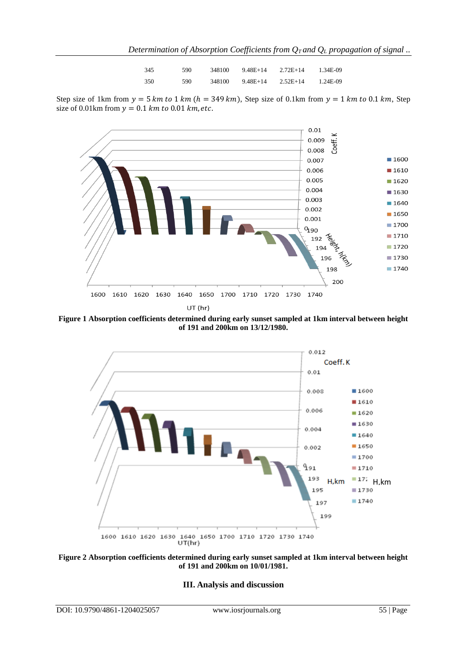| 345 | 590. | 348100 | 9.48E+14 | $2.72E+14$ | 1.34E-09 |
|-----|------|--------|----------|------------|----------|
| 350 | 590  | 348100 | 9.48E+14 | $2.52E+14$ | 1.24E-09 |

Step size of 1km from  $y = 5 km to 1 km (h = 349 km)$ , Step size of 0.1km from  $y = 1 km to 0.1 km$ , Step size of 0.01km from  $y = 0.1$  km to 0.01 km, etc.



**Figure 1 Absorption coefficients determined during early sunset sampled at 1km interval between height of 191 and 200km on 13/12/1980.**





#### **III. Analysis and discussion**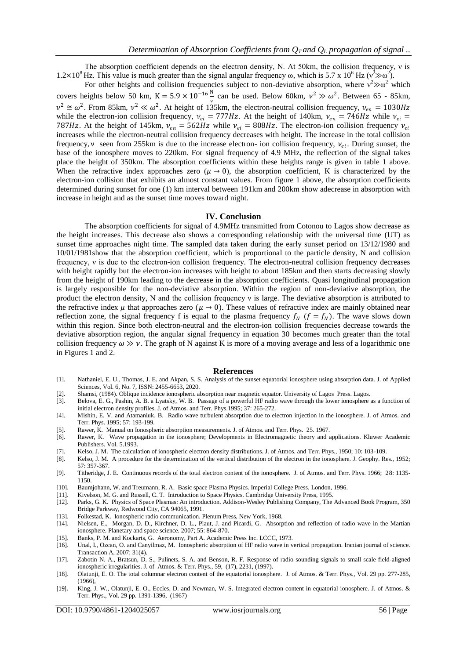The absorption coefficient depends on the electron density, N. At 50km, the collision frequency, ν is  $1.2\times10^8$  Hz. This value is much greater than the signal angular frequency  $\omega$ , which is 5.7 x 10<sup>6</sup> Hz ( $v^2\gg v^2$ ).

For other heights and collision frequencies subject to non-deviative absorption, where  $v^2 \gg \omega^2$  which covers heights below 50 km, K =  $5.9 \times 10^{-16} \frac{N}{v}$  can be used. Below 60km,  $v^2 \gg \omega^2$ . Between 65 - 85km,  $v^2 \approx \omega^2$ . From 85km,  $v^2 \ll \omega^2$ . At height of 135km, the electron-neutral collision frequency,  $v_{en} = 1030$  Hz while the electron-ion collision frequency,  $v_{ei} = 777 Hz$ . At the height of 140km,  $v_{en} = 746 Hz$  while  $v_{ei} =$ 787Hz. At the height of 145km,  $v_{en} = 562$ Hz while  $v_{ei} = 808$ Hz. The electron-ion collision frequency  $v_{ei}$ increases while the electron-neutral collision frequency decreases with height. The increase in the total collision frequency,  $v$  seen from 255km is due to the increase electron- ion collision frequency,  $v_{ei}$ . During sunset, the base of the ionosphere moves to 220km. For signal frequency of 4.9 MHz, the reflection of the signal takes place the height of 350km. The absorption coefficients within these heights range is given in table 1 above. When the refractive index approaches zero ( $\mu \rightarrow 0$ ), the absorption coefficient, K is characterized by the electron-ion collision that exhibits an almost constant values. From figure 1 above, the absorption coefficients determined during sunset for one (1) km interval between 191km and 200km show adecrease in absorption with increase in height and as the sunset time moves toward night.

#### **IV. Conclusion**

The absorption coefficients for signal of 4.9MHz transmitted from Cotonou to Lagos show decrease as the height increases. This decrease also shows a corresponding relationship with the universal time (UT) as sunset time approaches night time. The sampled data taken during the early sunset period on 13/12/1980 and 10/01/1981show that the absorption coefficient, which is proportional to the particle density, N and collision frequency, ν is due to the electron-ion collision frequency. The electron-neutral collision frequency decreases with height rapidly but the electron-ion increases with height to about 185km and then starts decreasing slowly from the height of 190km leading to the decrease in the absorption coefficients. Quasi longitudinal propagation is largely responsible for the non-deviative absorption. Within the region of non-deviative absorption, the product the electron density, N and the collision frequency ν is large. The deviative absorption is attributed to the refractive index  $\mu$  that approaches zero ( $\mu \rightarrow 0$ ). These values of refractive index are mainly obtained near reflection zone, the signal frequency f is equal to the plasma frequency  $f_N$  ( $f = f_N$ ). The wave slows down within this region. Since both electron-neutral and the electron-ion collision frequencies decrease towards the deviative absorption region, the angular signal frequency in equation 30 becomes much greater than the total collision frequency  $\omega \gg v$ . The graph of N against K is more of a moving average and less of a logarithmic one in Figures 1 and 2.

#### **References**

- [1]. Nathaniel, E. U., Thomas, J. E. and Akpan, S. S. Analysis of the sunset equatorial ionosphere using absorption data. J. of Applied Sciences, Vol. 6, No. 7, ISSN: 2455-6653, 2020.
- [2]. Shamsi, (1984). Oblique incidence ionospheric absorption near magnetic equator. University of Lagos Press. Lagos.
- [3]. Belova, E. G., Pashin, A. B. a Lyatsky, W. B. Passage of a powerful HF radio wave through the lower ionosphere as a function of initial electron density profiles. J. of Atmos. and Terr. Phys.1995; 37: 265-272.
- [4]. Mishin, E. V. and Atamaniuk, B. Radio wave turbulent absorption due to electron injection in the ionosphere. J. of Atmos. and Terr. Phys. 1995; 57: 193-199.
- [5]. Rawer, K. Manual on Ionospheric absorption measurements. J. of Atmos. and Terr. Phys. 25. 1967.
- [6]. Rawer, K. Wave propagation in the ionosphere; Developments in Electromagnetic theory and applications. Kluwer Academic Publishers. Vol. 5.1993.
- [7]. Kelso, J. M. The calculation of ionospheric electron density distributions. J. of Atmos. and Terr. Phys., 1950; 10: 103-109.
- Kelso, J. M. A procedure for the determination of the vertical distribution of the electron in the ionosphere. J. Geophy. Res., 1952; 57: 357-367.
- [9]. Titheridge, J. E. Continuous records of the total electron content of the ionosphere. J. of Atmos. and Terr. Phys. 1966; 28: 1135- 1150.
- [10]. Baumjohann, W. and Treumann, R. A. Basic space Plasma Physics. Imperial College Press, London, 1996.
- [11]. Kivelson, M. G. and Russell, C. T. Introduction to Space Physics. Cambridge University Press, 1995.
- [12]. Parks, G. K. Physics of Space Plasmas: An introduction. Addison-Wesley Publishing Company, The Advanced Book Program, 350 Bridge Parkway, Redwood City, CA 94065, 1991.
- [13]. Folkestad, K. Ionospheric radio communication. Plenum Press, New York, 1968.
- [14]. Nielsen, E., Morgan, D. D., Kirchner, D. L., Plaut, J. and Picardi, G. Absorption and reflection of radio wave in the Martian ionosphere. Planetary and space science. 2007; 55: 864-870.
- [15]. Banks, P. M. and Kockarts, G. Aeronomy, Part A. Academic Press Inc. LCCC, 1973.
- [16]. Unal, I., Ozcan, O. and Canyilmaz, M. Ionospheric absorption of HF radio wave in vertical propagation. Iranian journal of science. Transaction A, 2007; 31(4).
- [17]. Zabotin N. A., Bratsun, D. S., Pulinets, S. A. and Benson, R. F. Response of radio sounding signals to small scale field-aligned ionospheric irregularities. J. of Atmos. & Terr. Phys., 59, (17), 2231, (1997).
- [18]. Olatunji, E. O. The total columnar electron content of the equatorial ionosphere. J. of Atmos. & Terr. Phys., Vol. 29 pp. 277-285, (1966),
- [19]. King, J. W., Olatunji, E. O., Eccles, D. and Newman, W. S. Integrated electron content in equatorial ionosphere. J. of Atmos. & Terr. Phys., Vol. 29 pp. 1391-1396, (1967)